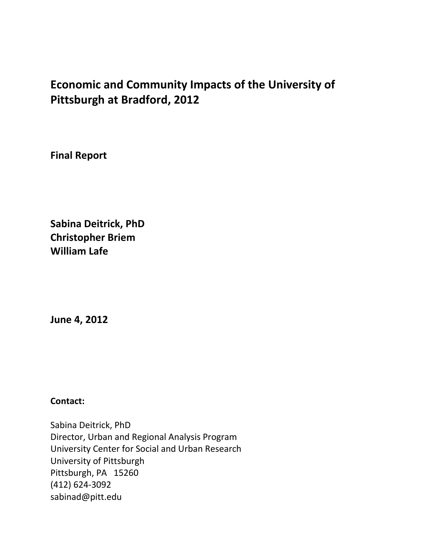# **Economic and Community Impacts of the University of Pittsburgh at Bradford, 2012**

**Final Report**

**Sabina Deitrick, PhD Christopher Briem William Lafe**

**June 4, 2012**

**Contact:**

Sabina Deitrick, PhD Director, Urban and Regional Analysis Program University Center for Social and Urban Research University of Pittsburgh Pittsburgh, PA 15260 (412) 624-3092 sabinad@pitt.edu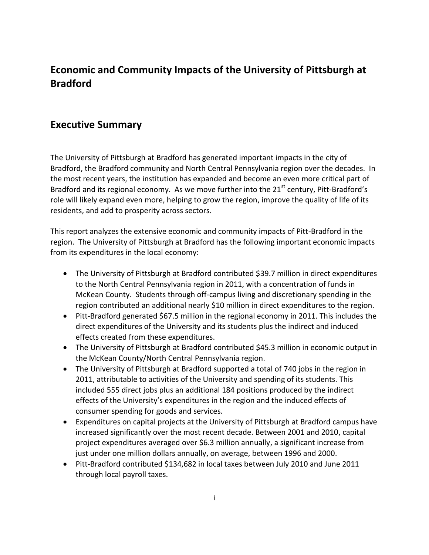## **Economic and Community Impacts of the University of Pittsburgh at Bradford**

## **Executive Summary**

The University of Pittsburgh at Bradford has generated important impacts in the city of Bradford, the Bradford community and North Central Pennsylvania region over the decades. In the most recent years, the institution has expanded and become an even more critical part of Bradford and its regional economy. As we move further into the  $21<sup>st</sup>$  century, Pitt-Bradford's role will likely expand even more, helping to grow the region, improve the quality of life of its residents, and add to prosperity across sectors.

This report analyzes the extensive economic and community impacts of Pitt-Bradford in the region. The University of Pittsburgh at Bradford has the following important economic impacts from its expenditures in the local economy:

- The University of Pittsburgh at Bradford contributed \$39.7 million in direct expenditures to the North Central Pennsylvania region in 2011, with a concentration of funds in McKean County. Students through off-campus living and discretionary spending in the region contributed an additional nearly \$10 million in direct expenditures to the region.
- Pitt-Bradford generated \$67.5 million in the regional economy in 2011. This includes the direct expenditures of the University and its students plus the indirect and induced effects created from these expenditures.
- The University of Pittsburgh at Bradford contributed \$45.3 million in economic output in the McKean County/North Central Pennsylvania region.
- The University of Pittsburgh at Bradford supported a total of 740 jobs in the region in 2011, attributable to activities of the University and spending of its students. This included 555 direct jobs plus an additional 184 positions produced by the indirect effects of the University's expenditures in the region and the induced effects of consumer spending for goods and services.
- Expenditures on capital projects at the University of Pittsburgh at Bradford campus have increased significantly over the most recent decade. Between 2001 and 2010, capital project expenditures averaged over \$6.3 million annually, a significant increase from just under one million dollars annually, on average, between 1996 and 2000.
- Pitt-Bradford contributed \$134,682 in local taxes between July 2010 and June 2011 through local payroll taxes.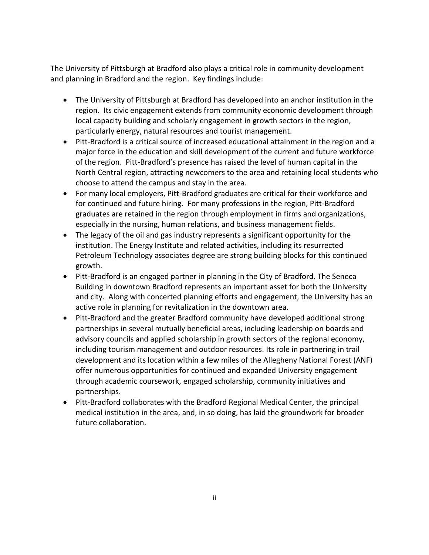The University of Pittsburgh at Bradford also plays a critical role in community development and planning in Bradford and the region. Key findings include:

- The University of Pittsburgh at Bradford has developed into an anchor institution in the region. Its civic engagement extends from community economic development through local capacity building and scholarly engagement in growth sectors in the region, particularly energy, natural resources and tourist management.
- Pitt-Bradford is a critical source of increased educational attainment in the region and a major force in the education and skill development of the current and future workforce of the region. Pitt-Bradford's presence has raised the level of human capital in the North Central region, attracting newcomers to the area and retaining local students who choose to attend the campus and stay in the area.
- For many local employers, Pitt-Bradford graduates are critical for their workforce and for continued and future hiring. For many professions in the region, Pitt-Bradford graduates are retained in the region through employment in firms and organizations, especially in the nursing, human relations, and business management fields.
- The legacy of the oil and gas industry represents a significant opportunity for the institution. The Energy Institute and related activities, including its resurrected Petroleum Technology associates degree are strong building blocks for this continued growth.
- Pitt-Bradford is an engaged partner in planning in the City of Bradford. The Seneca Building in downtown Bradford represents an important asset for both the University and city. Along with concerted planning efforts and engagement, the University has an active role in planning for revitalization in the downtown area.
- Pitt-Bradford and the greater Bradford community have developed additional strong partnerships in several mutually beneficial areas, including leadership on boards and advisory councils and applied scholarship in growth sectors of the regional economy, including tourism management and outdoor resources. Its role in partnering in trail development and its location within a few miles of the Allegheny National Forest (ANF) offer numerous opportunities for continued and expanded University engagement through academic coursework, engaged scholarship, community initiatives and partnerships.
- Pitt-Bradford collaborates with the Bradford Regional Medical Center, the principal medical institution in the area, and, in so doing, has laid the groundwork for broader future collaboration.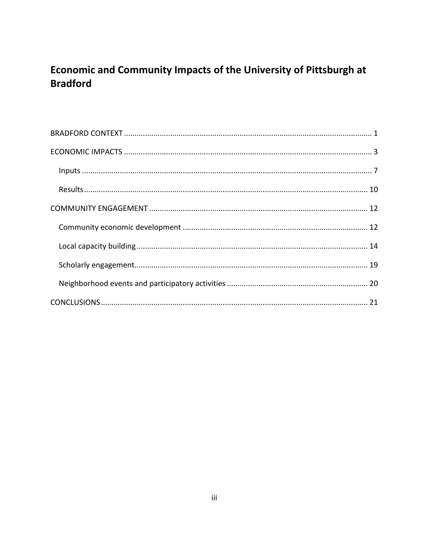## Economic and Community Impacts of the University of Pittsburgh at **Bradford**

| $\label{eq:1} \textbf{inputs} \textup{ } \textup{ } \textup{ } \textup{ } \textup{ } \textup{ } \textup{ } \textup{ } \textup{ } \textup{ } \textup{ } \textup{ } \textup{ } \textup{ } \textup{ } \textup{ } \textup{ } \textup{ } \textup{ } \textup{ } \textup{ } \textup{ } \textup{ } \textup{ } \textup{ } \textup{ } \textup{ } \textup{ } \textup{ } \textup{ } \textup{ } \textup{ } \textup{ } \textup{ } \textup$ |  |
|------------------------------------------------------------------------------------------------------------------------------------------------------------------------------------------------------------------------------------------------------------------------------------------------------------------------------------------------------------------------------------------------------------------------------|--|
|                                                                                                                                                                                                                                                                                                                                                                                                                              |  |
|                                                                                                                                                                                                                                                                                                                                                                                                                              |  |
|                                                                                                                                                                                                                                                                                                                                                                                                                              |  |
|                                                                                                                                                                                                                                                                                                                                                                                                                              |  |
|                                                                                                                                                                                                                                                                                                                                                                                                                              |  |
|                                                                                                                                                                                                                                                                                                                                                                                                                              |  |
|                                                                                                                                                                                                                                                                                                                                                                                                                              |  |
|                                                                                                                                                                                                                                                                                                                                                                                                                              |  |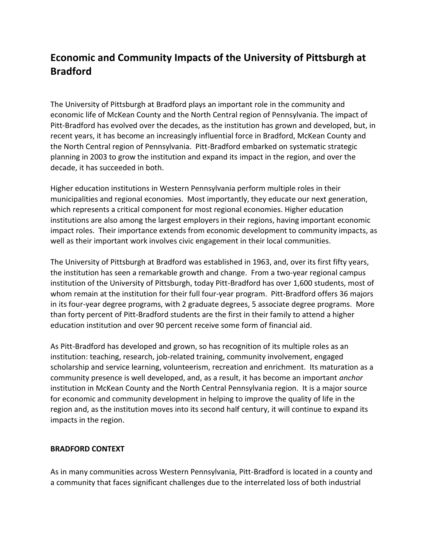## **Economic and Community Impacts of the University of Pittsburgh at Bradford**

The University of Pittsburgh at Bradford plays an important role in the community and economic life of McKean County and the North Central region of Pennsylvania. The impact of Pitt-Bradford has evolved over the decades, as the institution has grown and developed, but, in recent years, it has become an increasingly influential force in Bradford, McKean County and the North Central region of Pennsylvania. Pitt-Bradford embarked on systematic strategic planning in 2003 to grow the institution and expand its impact in the region, and over the decade, it has succeeded in both.

Higher education institutions in Western Pennsylvania perform multiple roles in their municipalities and regional economies. Most importantly, they educate our next generation, which represents a critical component for most regional economies. Higher education institutions are also among the largest employers in their regions, having important economic impact roles. Their importance extends from economic development to community impacts, as well as their important work involves civic engagement in their local communities.

The University of Pittsburgh at Bradford was established in 1963, and, over its first fifty years, the institution has seen a remarkable growth and change. From a two-year regional campus institution of the University of Pittsburgh, today Pitt-Bradford has over 1,600 students, most of whom remain at the institution for their full four-year program. Pitt-Bradford offers 36 majors in its four-year degree programs, with 2 graduate degrees, 5 associate degree programs. More than forty percent of Pitt-Bradford students are the first in their family to attend a higher education institution and over 90 percent receive some form of financial aid.

As Pitt-Bradford has developed and grown, so has recognition of its multiple roles as an institution: teaching, research, job-related training, community involvement, engaged scholarship and service learning, volunteerism, recreation and enrichment. Its maturation as a community presence is well developed, and, as a result, it has become an important *anchor* institution in McKean County and the North Central Pennsylvania region. It is a major source for economic and community development in helping to improve the quality of life in the region and, as the institution moves into its second half century, it will continue to expand its impacts in the region.

## <span id="page-4-0"></span>**BRADFORD CONTEXT**

As in many communities across Western Pennsylvania, Pitt-Bradford is located in a county and a community that faces significant challenges due to the interrelated loss of both industrial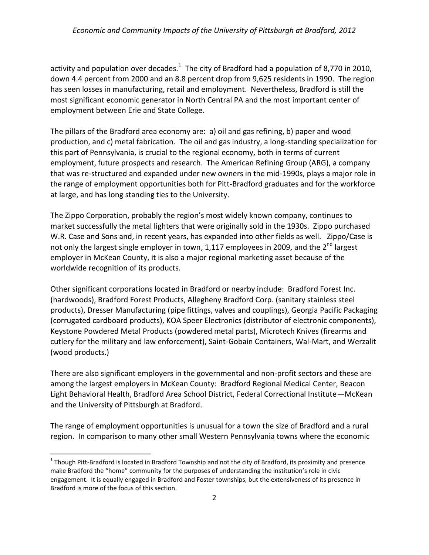## *Economic and Community Impacts of the University of Pittsburgh at Bradford, 2012*

activity and population over decades.<sup>1</sup> The city of Bradford had a population of 8,770 in 2010, down 4.4 percent from 2000 and an 8.8 percent drop from 9,625 residents in 1990. The region has seen losses in manufacturing, retail and employment. Nevertheless, Bradford is still the most significant economic generator in North Central PA and the most important center of employment between Erie and State College.

The pillars of the Bradford area economy are: a) oil and gas refining, b) paper and wood production, and c) metal fabrication. The oil and gas industry, a long-standing specialization for this part of Pennsylvania, is crucial to the regional economy, both in terms of current employment, future prospects and research. The American Refining Group (ARG), a company that was re-structured and expanded under new owners in the mid-1990s, plays a major role in the range of employment opportunities both for Pitt-Bradford graduates and for the workforce at large, and has long standing ties to the University.

The Zippo Corporation, probably the region's most widely known company, continues to market successfully the metal lighters that were originally sold in the 1930s. Zippo purchased W.R. Case and Sons and, in recent years, has expanded into other fields as well. Zippo/Case is not only the largest single employer in town, 1,117 employees in 2009, and the 2<sup>nd</sup> largest employer in McKean County, it is also a major regional marketing asset because of the worldwide recognition of its products.

Other significant corporations located in Bradford or nearby include: Bradford Forest Inc. (hardwoods), Bradford Forest Products, Allegheny Bradford Corp. (sanitary stainless steel products), Dresser Manufacturing (pipe fittings, valves and couplings), Georgia Pacific Packaging (corrugated cardboard products), KOA Speer Electronics (distributor of electronic components), Keystone Powdered Metal Products (powdered metal parts), Microtech Knives (firearms and cutlery for the military and law enforcement), Saint-Gobain Containers, Wal-Mart, and Werzalit (wood products.)

There are also significant employers in the governmental and non-profit sectors and these are among the largest employers in McKean County: Bradford Regional Medical Center, Beacon Light Behavioral Health, Bradford Area School District, Federal Correctional Institute—McKean and the University of Pittsburgh at Bradford.

The range of employment opportunities is unusual for a town the size of Bradford and a rural region. In comparison to many other small Western Pennsylvania towns where the economic

 $\overline{a}$ 

<sup>&</sup>lt;sup>1</sup> Though Pitt-Bradford is located in Bradford Township and not the city of Bradford, its proximity and presence make Bradford the "home" community for the purposes of understanding the institution's role in civic engagement. It is equally engaged in Bradford and Foster townships, but the extensiveness of its presence in Bradford is more of the focus of this section.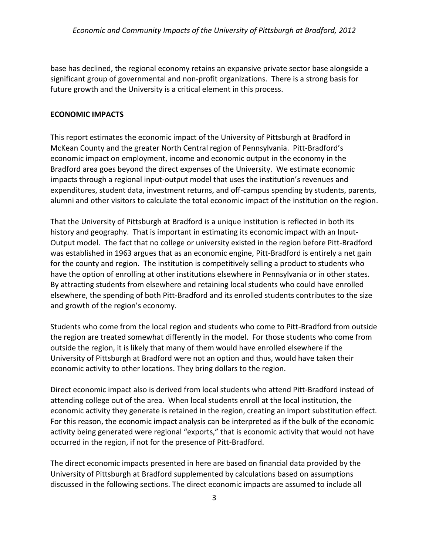base has declined, the regional economy retains an expansive private sector base alongside a significant group of governmental and non-profit organizations. There is a strong basis for future growth and the University is a critical element in this process.

#### <span id="page-6-0"></span>**ECONOMIC IMPACTS**

This report estimates the economic impact of the University of Pittsburgh at Bradford in McKean County and the greater North Central region of Pennsylvania. Pitt-Bradford's economic impact on employment, income and economic output in the economy in the Bradford area goes beyond the direct expenses of the University. We estimate economic impacts through a regional input-output model that uses the institution's revenues and expenditures, student data, investment returns, and off-campus spending by students, parents, alumni and other visitors to calculate the total economic impact of the institution on the region.

That the University of Pittsburgh at Bradford is a unique institution is reflected in both its history and geography. That is important in estimating its economic impact with an Input-Output model. The fact that no college or university existed in the region before Pitt-Bradford was established in 1963 argues that as an economic engine, Pitt-Bradford is entirely a net gain for the county and region. The institution is competitively selling a product to students who have the option of enrolling at other institutions elsewhere in Pennsylvania or in other states. By attracting students from elsewhere and retaining local students who could have enrolled elsewhere, the spending of both Pitt-Bradford and its enrolled students contributes to the size and growth of the region's economy.

Students who come from the local region and students who come to Pitt-Bradford from outside the region are treated somewhat differently in the model. For those students who come from outside the region, it is likely that many of them would have enrolled elsewhere if the University of Pittsburgh at Bradford were not an option and thus, would have taken their economic activity to other locations. They bring dollars to the region.

Direct economic impact also is derived from local students who attend Pitt-Bradford instead of attending college out of the area. When local students enroll at the local institution, the economic activity they generate is retained in the region, creating an import substitution effect. For this reason, the economic impact analysis can be interpreted as if the bulk of the economic activity being generated were regional "exports," that is economic activity that would not have occurred in the region, if not for the presence of Pitt-Bradford.

The direct economic impacts presented in here are based on financial data provided by the University of Pittsburgh at Bradford supplemented by calculations based on assumptions discussed in the following sections. The direct economic impacts are assumed to include all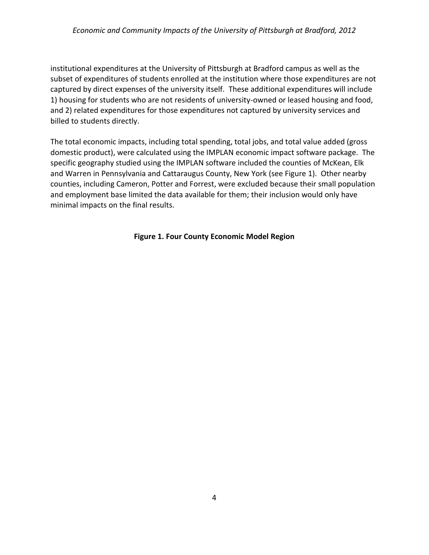## *Economic and Community Impacts of the University of Pittsburgh at Bradford, 2012*

institutional expenditures at the University of Pittsburgh at Bradford campus as well as the subset of expenditures of students enrolled at the institution where those expenditures are not captured by direct expenses of the university itself. These additional expenditures will include 1) housing for students who are not residents of university-owned or leased housing and food, and 2) related expenditures for those expenditures not captured by university services and billed to students directly.

The total economic impacts, including total spending, total jobs, and total value added (gross domestic product), were calculated using the IMPLAN economic impact software package. The specific geography studied using the IMPLAN software included the counties of McKean, Elk and Warren in Pennsylvania and Cattaraugus County, New York (see Figure 1). Other nearby counties, including Cameron, Potter and Forrest, were excluded because their small population and employment base limited the data available for them; their inclusion would only have minimal impacts on the final results.

## **Figure 1. Four County Economic Model Region**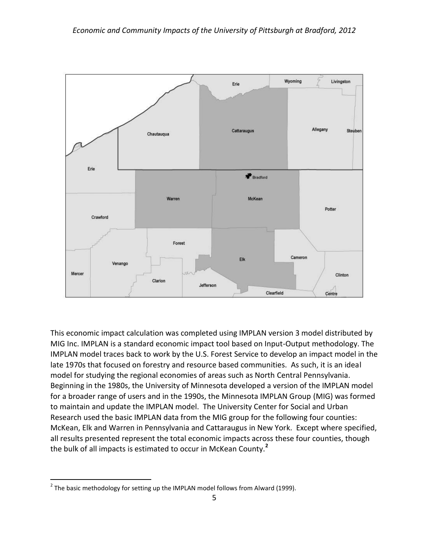

This economic impact calculation was completed using IMPLAN version 3 model distributed by MIG Inc. IMPLAN is a standard economic impact tool based on Input-Output methodology. The IMPLAN model traces back to work by the U.S. Forest Service to develop an impact model in the late 1970s that focused on forestry and resource based communities. As such, it is an ideal model for studying the regional economies of areas such as North Central Pennsylvania. Beginning in the 1980s, the University of Minnesota developed a version of the IMPLAN model for a broader range of users and in the 1990s, the Minnesota IMPLAN Group (MIG) was formed to maintain and update the IMPLAN model. The University Center for Social and Urban Research used the basic IMPLAN data from the MIG group for the following four counties: McKean, Elk and Warren in Pennsylvania and Cattaraugus in New York. Except where specified, all results presented represent the total economic impacts across these four counties, though the bulk of all impacts is estimated to occur in McKean County.**<sup>2</sup>**

 $\overline{a}$ 

 $^2$  The basic methodology for setting up the IMPLAN model follows from Alward (1999).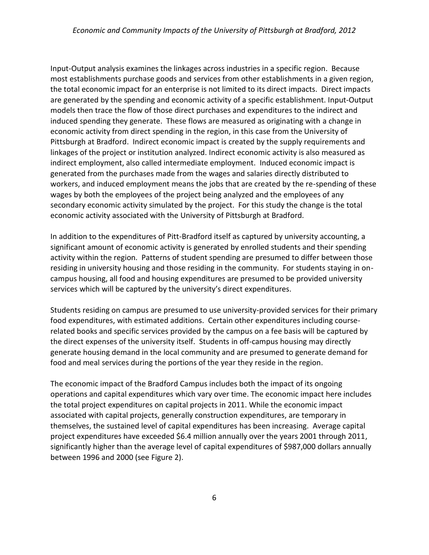Input-Output analysis examines the linkages across industries in a specific region. Because most establishments purchase goods and services from other establishments in a given region, the total economic impact for an enterprise is not limited to its direct impacts. Direct impacts are generated by the spending and economic activity of a specific establishment. Input-Output models then trace the flow of those direct purchases and expenditures to the indirect and induced spending they generate. These flows are measured as originating with a change in economic activity from direct spending in the region, in this case from the University of Pittsburgh at Bradford. Indirect economic impact is created by the supply requirements and linkages of the project or institution analyzed. Indirect economic activity is also measured as indirect employment, also called intermediate employment. Induced economic impact is generated from the purchases made from the wages and salaries directly distributed to workers, and induced employment means the jobs that are created by the re-spending of these wages by both the employees of the project being analyzed and the employees of any secondary economic activity simulated by the project. For this study the change is the total economic activity associated with the University of Pittsburgh at Bradford.

In addition to the expenditures of Pitt-Bradford itself as captured by university accounting, a significant amount of economic activity is generated by enrolled students and their spending activity within the region. Patterns of student spending are presumed to differ between those residing in university housing and those residing in the community. For students staying in oncampus housing, all food and housing expenditures are presumed to be provided university services which will be captured by the university's direct expenditures.

Students residing on campus are presumed to use university-provided services for their primary food expenditures, with estimated additions. Certain other expenditures including courserelated books and specific services provided by the campus on a fee basis will be captured by the direct expenses of the university itself. Students in off-campus housing may directly generate housing demand in the local community and are presumed to generate demand for food and meal services during the portions of the year they reside in the region.

The economic impact of the Bradford Campus includes both the impact of its ongoing operations and capital expenditures which vary over time. The economic impact here includes the total project expenditures on capital projects in 2011. While the economic impact associated with capital projects, generally construction expenditures, are temporary in themselves, the sustained level of capital expenditures has been increasing. Average capital project expenditures have exceeded \$6.4 million annually over the years 2001 through 2011, significantly higher than the average level of capital expenditures of \$987,000 dollars annually between 1996 and 2000 (see Figure 2).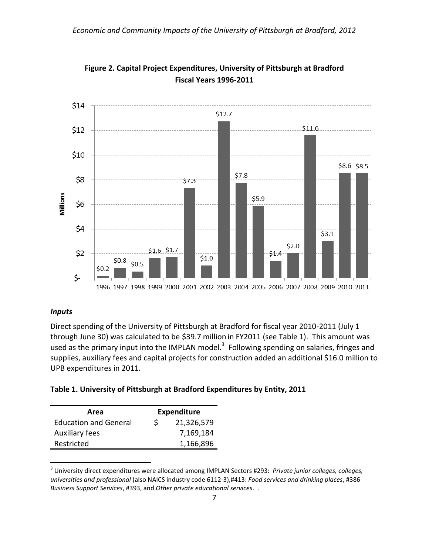



## <span id="page-10-0"></span>*Inputs*

 $\overline{a}$ 

Direct spending of the University of Pittsburgh at Bradford for fiscal year 2010-2011 (July 1 through June 30) was calculated to be \$39.7 million in FY2011 (see Table 1). This amount was used as the primary input into the IMPLAN model.<sup>3</sup> Following spending on salaries, fringes and supplies, auxiliary fees and capital projects for construction added an additional \$16.0 million to UPB expenditures in 2011.

|  |  | Table 1. University of Pittsburgh at Bradford Expenditures by Entity, 2011 |  |
|--|--|----------------------------------------------------------------------------|--|
|--|--|----------------------------------------------------------------------------|--|

| Area                         | <b>Expenditure</b> |            |
|------------------------------|--------------------|------------|
| <b>Education and General</b> | S                  | 21,326,579 |
| <b>Auxiliary fees</b>        |                    | 7,169,184  |
| Restricted                   |                    | 1,166,896  |

<sup>3</sup> University direct expenditures were allocated among IMPLAN Sectors #293: *Private junior colleges, colleges, universities and professional* (also NAICS industry code 6112-3),#413: *Food services and drinking places*, #386 *Business Support Services*, #393, and *Other private educational services*. .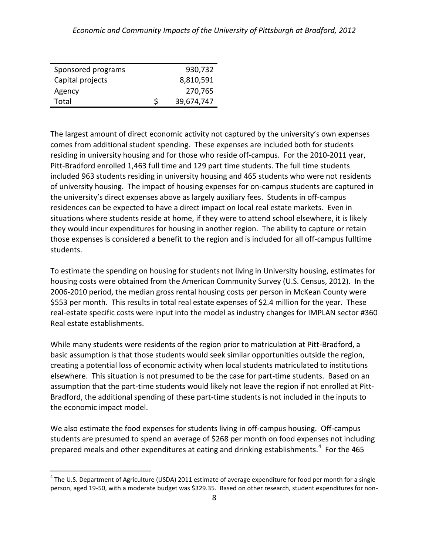| Sponsored programs |   | 930,732    |
|--------------------|---|------------|
| Capital projects   |   | 8,810,591  |
| Agency             |   | 270,765    |
| Total              | S | 39,674,747 |

 $\overline{a}$ 

The largest amount of direct economic activity not captured by the university's own expenses comes from additional student spending. These expenses are included both for students residing in university housing and for those who reside off-campus. For the 2010-2011 year, Pitt-Bradford enrolled 1,463 full time and 129 part time students. The full time students included 963 students residing in university housing and 465 students who were not residents of university housing. The impact of housing expenses for on-campus students are captured in the university's direct expenses above as largely auxiliary fees. Students in off-campus residences can be expected to have a direct impact on local real estate markets. Even in situations where students reside at home, if they were to attend school elsewhere, it is likely they would incur expenditures for housing in another region. The ability to capture or retain those expenses is considered a benefit to the region and is included for all off-campus fulltime students.

To estimate the spending on housing for students not living in University housing, estimates for housing costs were obtained from the American Community Survey (U.S. Census, 2012). In the 2006-2010 period, the median gross rental housing costs per person in McKean County were \$553 per month. This results in total real estate expenses of \$2.4 million for the year. These real-estate specific costs were input into the model as industry changes for IMPLAN sector #360 Real estate establishments.

While many students were residents of the region prior to matriculation at Pitt-Bradford, a basic assumption is that those students would seek similar opportunities outside the region, creating a potential loss of economic activity when local students matriculated to institutions elsewhere. This situation is not presumed to be the case for part-time students. Based on an assumption that the part-time students would likely not leave the region if not enrolled at Pitt-Bradford, the additional spending of these part-time students is not included in the inputs to the economic impact model.

We also estimate the food expenses for students living in off-campus housing. Off-campus students are presumed to spend an average of \$268 per month on food expenses not including prepared meals and other expenditures at eating and drinking establishments.<sup>4</sup> For the 465

<sup>&</sup>lt;sup>4</sup> The U.S. Department of Agriculture (USDA) 2011 estimate of average expenditure for food per month for a single person, aged 19-50, with a moderate budget was \$329.35. Based on other research, student expenditures for non-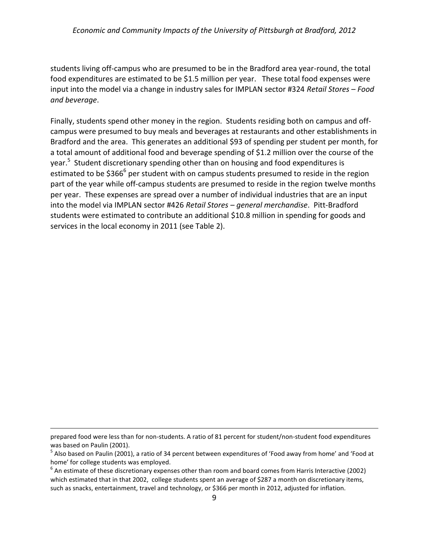## *Economic and Community Impacts of the University of Pittsburgh at Bradford, 2012*

students living off-campus who are presumed to be in the Bradford area year-round, the total food expenditures are estimated to be \$1.5 million per year. These total food expenses were input into the model via a change in industry sales for IMPLAN sector #324 *Retail Stores – Food and beverage*.

Finally, students spend other money in the region. Students residing both on campus and offcampus were presumed to buy meals and beverages at restaurants and other establishments in Bradford and the area. This generates an additional \$93 of spending per student per month, for a total amount of additional food and beverage spending of \$1.2 million over the course of the year.<sup>5</sup> Student discretionary spending other than on housing and food expenditures is estimated to be \$366<sup>6</sup> per student with on campus students presumed to reside in the region part of the year while off-campus students are presumed to reside in the region twelve months per year. These expenses are spread over a number of individual industries that are an input into the model via IMPLAN sector #426 *Retail Stores – general merchandise*. Pitt-Bradford students were estimated to contribute an additional \$10.8 million in spending for goods and services in the local economy in 2011 (see Table 2).

 $\overline{a}$ 

prepared food were less than for non-students. A ratio of 81 percent for student/non-student food expenditures was based on Paulin (2001).

<sup>&</sup>lt;sup>5</sup> Also based on Paulin (2001), a ratio of 34 percent between expenditures of 'Food away from home' and 'Food at home' for college students was employed.

 $^6$  An estimate of these discretionary expenses other than room and board comes from Harris Interactive (2002) which estimated that in that 2002, college students spent an average of \$287 a month on discretionary items, such as snacks, entertainment, travel and technology, or \$366 per month in 2012, adjusted for inflation.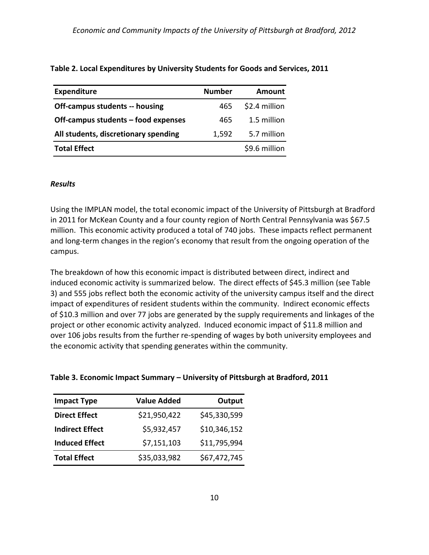| <b>Expenditure</b>                    | <b>Number</b> | Amount        |
|---------------------------------------|---------------|---------------|
| <b>Off-campus students -- housing</b> | 465           | \$2.4 million |
| Off-campus students – food expenses   | 465           | 1.5 million   |
| All students, discretionary spending  | 1,592         | 5.7 million   |
| <b>Total Effect</b>                   |               | \$9.6 million |

### **Table 2. Local Expenditures by University Students for Goods and Services, 2011**

#### <span id="page-13-0"></span>*Results*

Using the IMPLAN model, the total economic impact of the University of Pittsburgh at Bradford in 2011 for McKean County and a four county region of North Central Pennsylvania was \$67.5 million. This economic activity produced a total of 740 jobs. These impacts reflect permanent and long-term changes in the region's economy that result from the ongoing operation of the campus.

The breakdown of how this economic impact is distributed between direct, indirect and induced economic activity is summarized below. The direct effects of \$45.3 million (see Table 3) and 555 jobs reflect both the economic activity of the university campus itself and the direct impact of expenditures of resident students within the community. Indirect economic effects of \$10.3 million and over 77 jobs are generated by the supply requirements and linkages of the project or other economic activity analyzed. Induced economic impact of \$11.8 million and over 106 jobs results from the further re-spending of wages by both university employees and the economic activity that spending generates within the community.

#### **Table 3. Economic Impact Summary – University of Pittsburgh at Bradford, 2011**

| <b>Value Added</b> | Output       |
|--------------------|--------------|
| \$21,950,422       | \$45,330,599 |
| \$5,932,457        | \$10,346,152 |
| \$7,151,103        | \$11,795,994 |
| \$35,033,982       | \$67,472,745 |
|                    |              |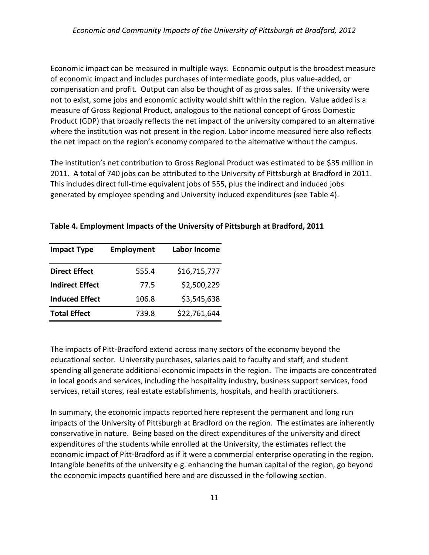Economic impact can be measured in multiple ways. Economic output is the broadest measure of economic impact and includes purchases of intermediate goods, plus value-added, or compensation and profit. Output can also be thought of as gross sales. If the university were not to exist, some jobs and economic activity would shift within the region. Value added is a measure of Gross Regional Product, analogous to the national concept of Gross Domestic Product (GDP) that broadly reflects the net impact of the university compared to an alternative where the institution was not present in the region. Labor income measured here also reflects the net impact on the region's economy compared to the alternative without the campus.

The institution's net contribution to Gross Regional Product was estimated to be \$35 million in 2011. A total of 740 jobs can be attributed to the University of Pittsburgh at Bradford in 2011. This includes direct full-time equivalent jobs of 555, plus the indirect and induced jobs generated by employee spending and University induced expenditures (see Table 4).

| <b>Impact Type</b>     | <b>Employment</b> | Labor Income |
|------------------------|-------------------|--------------|
| <b>Direct Effect</b>   | 555.4             | \$16,715,777 |
| <b>Indirect Effect</b> | 77.5              | \$2,500,229  |
| <b>Induced Effect</b>  | 106.8             | \$3,545,638  |
| <b>Total Effect</b>    | 739.8             | \$22,761,644 |

#### **Table 4. Employment Impacts of the University of Pittsburgh at Bradford, 2011**

The impacts of Pitt-Bradford extend across many sectors of the economy beyond the educational sector. University purchases, salaries paid to faculty and staff, and student spending all generate additional economic impacts in the region. The impacts are concentrated in local goods and services, including the hospitality industry, business support services, food services, retail stores, real estate establishments, hospitals, and health practitioners.

In summary, the economic impacts reported here represent the permanent and long run impacts of the University of Pittsburgh at Bradford on the region. The estimates are inherently conservative in nature. Being based on the direct expenditures of the university and direct expenditures of the students while enrolled at the University, the estimates reflect the economic impact of Pitt-Bradford as if it were a commercial enterprise operating in the region. Intangible benefits of the university e.g. enhancing the human capital of the region, go beyond the economic impacts quantified here and are discussed in the following section.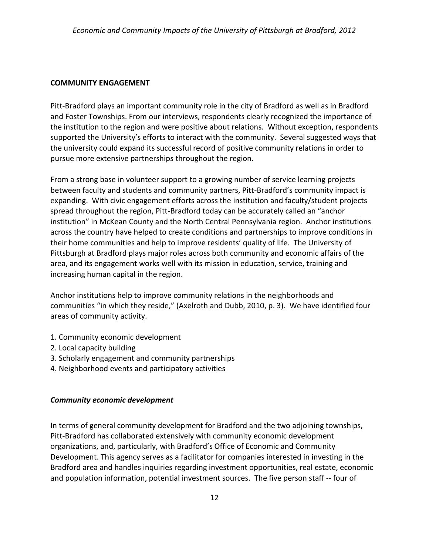## <span id="page-15-0"></span>**COMMUNITY ENGAGEMENT**

Pitt-Bradford plays an important community role in the city of Bradford as well as in Bradford and Foster Townships. From our interviews, respondents clearly recognized the importance of the institution to the region and were positive about relations. Without exception, respondents supported the University's efforts to interact with the community. Several suggested ways that the university could expand its successful record of positive community relations in order to pursue more extensive partnerships throughout the region.

From a strong base in volunteer support to a growing number of service learning projects between faculty and students and community partners, Pitt-Bradford's community impact is expanding. With civic engagement efforts across the institution and faculty/student projects spread throughout the region, Pitt-Bradford today can be accurately called an "anchor institution" in McKean County and the North Central Pennsylvania region. Anchor institutions across the country have helped to create conditions and partnerships to improve conditions in their home communities and help to improve residents' quality of life. The University of Pittsburgh at Bradford plays major roles across both community and economic affairs of the area, and its engagement works well with its mission in education, service, training and increasing human capital in the region.

Anchor institutions help to improve community relations in the neighborhoods and communities "in which they reside," (Axelroth and Dubb, 2010, p. 3). We have identified four areas of community activity.

- 1. Community economic development
- 2. Local capacity building
- 3. Scholarly engagement and community partnerships
- 4. Neighborhood events and participatory activities

## <span id="page-15-1"></span>*Community economic development*

In terms of general community development for Bradford and the two adjoining townships, Pitt-Bradford has collaborated extensively with community economic development organizations, and, particularly, with Bradford's Office of Economic and Community Development. This agency serves as a facilitator for companies interested in investing in the Bradford area and handles inquiries regarding investment opportunities, real estate, economic and population information, potential investment sources. The five person staff -- four of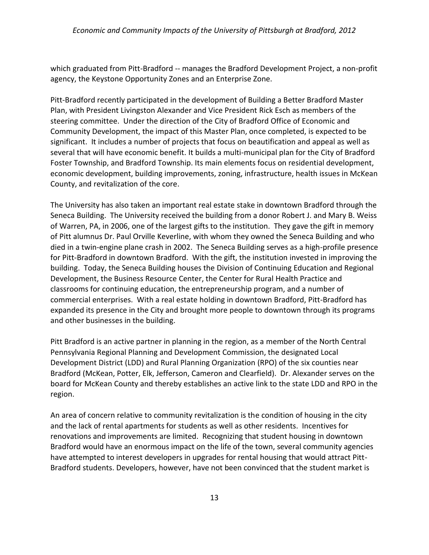which graduated from Pitt-Bradford -- manages the Bradford Development Project, a non-profit agency, the Keystone Opportunity Zones and an Enterprise Zone.

Pitt-Bradford recently participated in the development of Building a Better Bradford Master Plan, with President Livingston Alexander and Vice President Rick Esch as members of the steering committee. Under the direction of the City of Bradford Office of Economic and Community Development, the impact of this Master Plan, once completed, is expected to be significant. It includes a number of projects that focus on beautification and appeal as well as several that will have economic benefit. It builds a multi-municipal plan for the City of Bradford Foster Township, and Bradford Township. Its main elements focus on residential development, economic development, building improvements, zoning, infrastructure, health issues in McKean County, and revitalization of the core.

The University has also taken an important real estate stake in downtown Bradford through the Seneca Building. The University received the building from a donor Robert J. and Mary B. Weiss of Warren, PA, in 2006, one of the largest gifts to the institution. They gave the gift in memory of Pitt alumnus Dr. Paul Orville Keverline, with whom they owned the Seneca Building and who died in a twin-engine plane crash in 2002. The Seneca Building serves as a high-profile presence for Pitt-Bradford in downtown Bradford. With the gift, the institution invested in improving the building. Today, the Seneca Building houses the Division of Continuing Education and Regional Development, the Business Resource Center, the Center for Rural Health Practice and classrooms for continuing education, the entrepreneurship program, and a number of commercial enterprises. With a real estate holding in downtown Bradford, Pitt-Bradford has expanded its presence in the City and brought more people to downtown through its programs and other businesses in the building.

Pitt Bradford is an active partner in planning in the region, as a member of the North Central Pennsylvania Regional Planning and Development Commission, the designated Local Development District (LDD) and Rural Planning Organization (RPO) of the six counties near Bradford (McKean, Potter, Elk, Jefferson, Cameron and Clearfield). Dr. Alexander serves on the board for McKean County and thereby establishes an active link to the state LDD and RPO in the region.

An area of concern relative to community revitalization is the condition of housing in the city and the lack of rental apartments for students as well as other residents. Incentives for renovations and improvements are limited. Recognizing that student housing in downtown Bradford would have an enormous impact on the life of the town, several community agencies have attempted to interest developers in upgrades for rental housing that would attract Pitt-Bradford students. Developers, however, have not been convinced that the student market is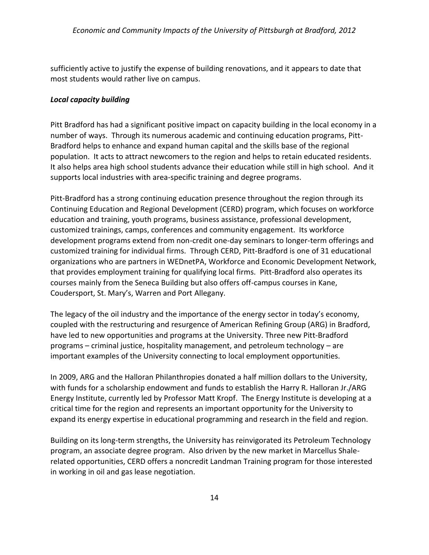sufficiently active to justify the expense of building renovations, and it appears to date that most students would rather live on campus.

## <span id="page-17-0"></span>*Local capacity building*

Pitt Bradford has had a significant positive impact on capacity building in the local economy in a number of ways. Through its numerous academic and continuing education programs, Pitt-Bradford helps to enhance and expand human capital and the skills base of the regional population. It acts to attract newcomers to the region and helps to retain educated residents. It also helps area high school students advance their education while still in high school. And it supports local industries with area-specific training and degree programs.

Pitt-Bradford has a strong continuing education presence throughout the region through its Continuing Education and Regional Development (CERD) program, which focuses on workforce education and training, youth programs, business assistance, professional development, customized trainings, camps, conferences and community engagement. Its workforce development programs extend from non-credit one-day seminars to longer-term offerings and customized training for individual firms. Through CERD, Pitt-Bradford is one of 31 educational organizations who are partners in WEDnetPA, Workforce and Economic Development Network, that provides employment training for qualifying local firms. Pitt-Bradford also operates its courses mainly from the Seneca Building but also offers off-campus courses in Kane, Coudersport, St. Mary's, Warren and Port Allegany.

The legacy of the oil industry and the importance of the energy sector in today's economy, coupled with the restructuring and resurgence of American Refining Group (ARG) in Bradford, have led to new opportunities and programs at the University. Three new Pitt-Bradford programs – criminal justice, hospitality management, and petroleum technology – are important examples of the University connecting to local employment opportunities.

In 2009, ARG and the Halloran Philanthropies donated a half million dollars to the University, with funds for a scholarship endowment and funds to establish the Harry R. Halloran Jr./ARG Energy Institute, currently led by Professor Matt Kropf. The Energy Institute is developing at a critical time for the region and represents an important opportunity for the University to expand its energy expertise in educational programming and research in the field and region.

Building on its long-term strengths, the University has reinvigorated its Petroleum Technology program, an associate degree program. Also driven by the new market in Marcellus Shalerelated opportunities, CERD offers a noncredit Landman Training program for those interested in working in oil and gas lease negotiation.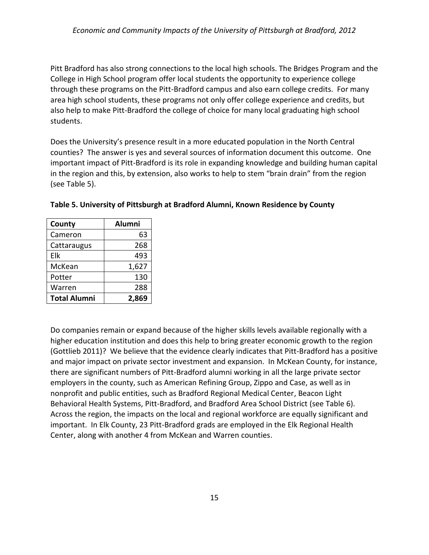Pitt Bradford has also strong connections to the local high schools. The Bridges Program and the College in High School program offer local students the opportunity to experience college through these programs on the Pitt-Bradford campus and also earn college credits. For many area high school students, these programs not only offer college experience and credits, but also help to make Pitt-Bradford the college of choice for many local graduating high school students.

Does the University's presence result in a more educated population in the North Central counties? The answer is yes and several sources of information document this outcome. One important impact of Pitt-Bradford is its role in expanding knowledge and building human capital in the region and this, by extension, also works to help to stem "brain drain" from the region (see Table 5).

| County              | <b>Alumni</b> |
|---------------------|---------------|
| Cameron             | 63            |
| Cattaraugus         | 268           |
| Elk                 | 493           |
| McKean              | 1,627         |
| Potter              | 130           |
| Warren              | 288           |
| <b>Total Alumni</b> | 69<br>2.80    |

Do companies remain or expand because of the higher skills levels available regionally with a higher education institution and does this help to bring greater economic growth to the region (Gottlieb 2011)? We believe that the evidence clearly indicates that Pitt-Bradford has a positive and major impact on private sector investment and expansion. In McKean County, for instance, there are significant numbers of Pitt-Bradford alumni working in all the large private sector employers in the county, such as American Refining Group, Zippo and Case, as well as in nonprofit and public entities, such as Bradford Regional Medical Center, Beacon Light Behavioral Health Systems, Pitt-Bradford, and Bradford Area School District (see Table 6). Across the region, the impacts on the local and regional workforce are equally significant and important. In Elk County, 23 Pitt-Bradford grads are employed in the Elk Regional Health Center, along with another 4 from McKean and Warren counties.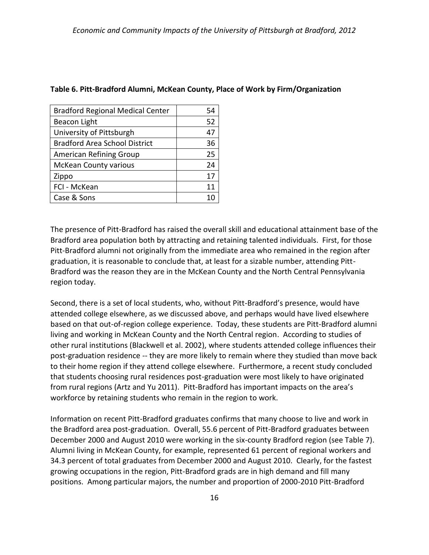| <b>Bradford Regional Medical Center</b> | 54 |
|-----------------------------------------|----|
| Beacon Light                            | 52 |
| University of Pittsburgh                | 47 |
| <b>Bradford Area School District</b>    | 36 |
| American Refining Group                 | 25 |
| <b>McKean County various</b>            | 24 |
| Zippo                                   | 17 |
| FCI - McKean                            | 11 |
| Case & Sons                             |    |

### **Table 6. Pitt-Bradford Alumni, McKean County, Place of Work by Firm/Organization**

The presence of Pitt-Bradford has raised the overall skill and educational attainment base of the Bradford area population both by attracting and retaining talented individuals. First, for those Pitt-Bradford alumni not originally from the immediate area who remained in the region after graduation, it is reasonable to conclude that, at least for a sizable number, attending Pitt-Bradford was the reason they are in the McKean County and the North Central Pennsylvania region today.

Second, there is a set of local students, who, without Pitt-Bradford's presence, would have attended college elsewhere, as we discussed above, and perhaps would have lived elsewhere based on that out-of-region college experience. Today, these students are Pitt-Bradford alumni living and working in McKean County and the North Central region. According to studies of other rural institutions (Blackwell et al. 2002), where students attended college influences their post-graduation residence -- they are more likely to remain where they studied than move back to their home region if they attend college elsewhere. Furthermore, a recent study concluded that students choosing rural residences post-graduation were most likely to have originated from rural regions (Artz and Yu 2011). Pitt-Bradford has important impacts on the area's workforce by retaining students who remain in the region to work.

Information on recent Pitt-Bradford graduates confirms that many choose to live and work in the Bradford area post-graduation. Overall, 55.6 percent of Pitt-Bradford graduates between December 2000 and August 2010 were working in the six-county Bradford region (see Table 7). Alumni living in McKean County, for example, represented 61 percent of regional workers and 34.3 percent of total graduates from December 2000 and August 2010. Clearly, for the fastest growing occupations in the region, Pitt-Bradford grads are in high demand and fill many positions. Among particular majors, the number and proportion of 2000-2010 Pitt-Bradford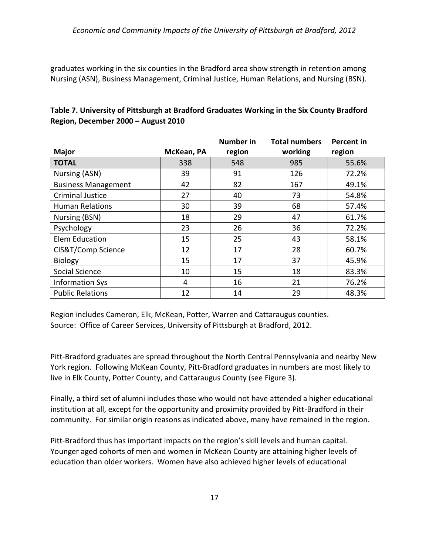graduates working in the six counties in the Bradford area show strength in retention among Nursing (ASN), Business Management, Criminal Justice, Human Relations, and Nursing (BSN).

|                            |            | <b>Number in</b> | <b>Total numbers</b> | <b>Percent in</b> |
|----------------------------|------------|------------------|----------------------|-------------------|
| <b>Major</b>               | McKean, PA | region           | working              | region            |
| <b>TOTAL</b>               | 338        | 548              | 985                  | 55.6%             |
| Nursing (ASN)              | 39         | 91               | 126                  | 72.2%             |
| <b>Business Management</b> | 42         | 82               | 167                  | 49.1%             |
| <b>Criminal Justice</b>    | 27         | 40               | 73                   | 54.8%             |
| <b>Human Relations</b>     | 30         | 39               | 68                   | 57.4%             |
| Nursing (BSN)              | 18         | 29               | 47                   | 61.7%             |
| Psychology                 | 23         | 26               | 36                   | 72.2%             |
| <b>Elem Education</b>      | 15         | 25               | 43                   | 58.1%             |
| CIS&T/Comp Science         | 12         | 17               | 28                   | 60.7%             |
| Biology                    | 15         | 17               | 37                   | 45.9%             |
| Social Science             | 10         | 15               | 18                   | 83.3%             |
| <b>Information Sys</b>     | 4          | 16               | 21                   | 76.2%             |
| <b>Public Relations</b>    | 12         | 14               | 29                   | 48.3%             |

## **Table 7. University of Pittsburgh at Bradford Graduates Working in the Six County Bradford Region, December 2000 – August 2010**

Region includes Cameron, Elk, McKean, Potter, Warren and Cattaraugus counties. Source: Office of Career Services, University of Pittsburgh at Bradford, 2012.

Pitt-Bradford graduates are spread throughout the North Central Pennsylvania and nearby New York region. Following McKean County, Pitt-Bradford graduates in numbers are most likely to live in Elk County, Potter County, and Cattaraugus County (see Figure 3).

Finally, a third set of alumni includes those who would not have attended a higher educational institution at all, except for the opportunity and proximity provided by Pitt-Bradford in their community. For similar origin reasons as indicated above, many have remained in the region.

Pitt-Bradford thus has important impacts on the region's skill levels and human capital. Younger aged cohorts of men and women in McKean County are attaining higher levels of education than older workers. Women have also achieved higher levels of educational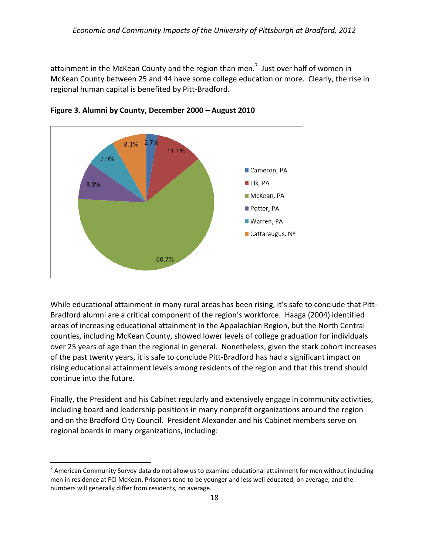attainment in the McKean County and the region than men.<sup>7</sup> Just over half of women in McKean County between 25 and 44 have some college education or more. Clearly, the rise in regional human capital is benefited by Pitt-Bradford.





While educational attainment in many rural areas has been rising, it's safe to conclude that Pitt-Bradford alumni are a critical component of the region's workforce. Haaga (2004) identified areas of increasing educational attainment in the Appalachian Region, but the North Central counties, including McKean County, showed lower levels of college graduation for individuals over 25 years of age than the regional in general. Nonetheless, given the stark cohort increases of the past twenty years, it is safe to conclude Pitt-Bradford has had a significant impact on rising educational attainment levels among residents of the region and that this trend should continue into the future.

Finally, the President and his Cabinet regularly and extensively engage in community activities, including board and leadership positions in many nonprofit organizations around the region and on the Bradford City Council. President Alexander and his Cabinet members serve on regional boards in many organizations, including:

 $\overline{a}$ 

 $^7$  American Community Survey data do not allow us to examine educational attainment for men without including men in residence at FCI McKean. Prisoners tend to be younger and less well educated, on average, and the numbers will generally differ from residents, on average.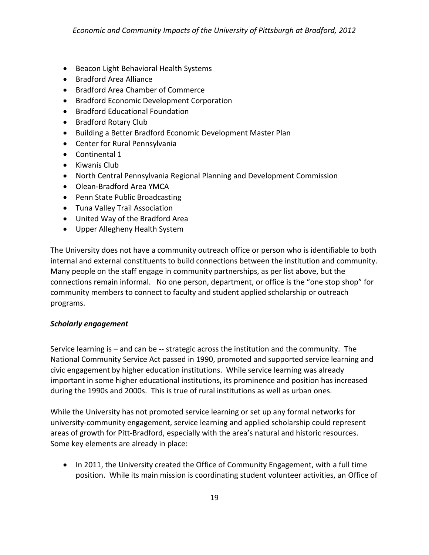- Beacon Light Behavioral Health Systems
- Bradford Area Alliance
- Bradford Area Chamber of Commerce
- Bradford Economic Development Corporation
- Bradford Educational Foundation
- Bradford Rotary Club
- Building a Better Bradford Economic Development Master Plan
- Center for Rural Pennsylvania
- Continental 1
- Kiwanis Club
- North Central Pennsylvania Regional Planning and Development Commission
- Olean-Bradford Area YMCA
- Penn State Public Broadcasting
- Tuna Valley Trail Association
- United Way of the Bradford Area
- Upper Allegheny Health System

The University does not have a community outreach office or person who is identifiable to both internal and external constituents to build connections between the institution and community. Many people on the staff engage in community partnerships, as per list above, but the connections remain informal. No one person, department, or office is the "one stop shop" for community members to connect to faculty and student applied scholarship or outreach programs.

## <span id="page-22-0"></span>*Scholarly engagement*

Service learning is – and can be -- strategic across the institution and the community. The National Community Service Act passed in 1990, promoted and supported service learning and civic engagement by higher education institutions. While service learning was already important in some higher educational institutions, its prominence and position has increased during the 1990s and 2000s. This is true of rural institutions as well as urban ones.

While the University has not promoted service learning or set up any formal networks for university-community engagement, service learning and applied scholarship could represent areas of growth for Pitt-Bradford, especially with the area's natural and historic resources. Some key elements are already in place:

• In 2011, the University created the Office of Community Engagement, with a full time position. While its main mission is coordinating student volunteer activities, an Office of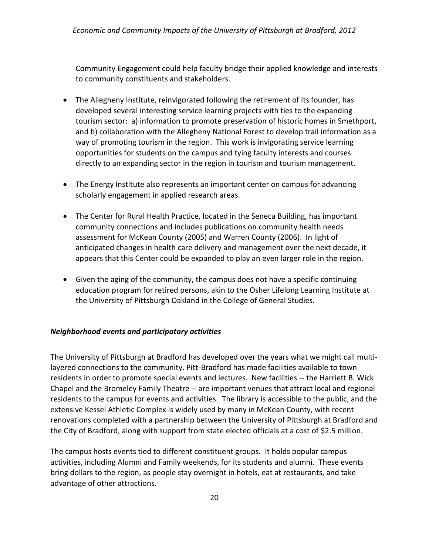Community Engagement could help faculty bridge their applied knowledge and interests to community constituents and stakeholders.

- The Allegheny Institute, reinvigorated following the retirement of its founder, has developed several interesting service learning projects with ties to the expanding tourism sector: a) information to promote preservation of historic homes in Smethport, and b) collaboration with the Allegheny National Forest to develop trail information as a way of promoting tourism in the region. This work is invigorating service learning opportunities for students on the campus and tying faculty interests and courses directly to an expanding sector in the region in tourism and tourism management.
- The Energy Institute also represents an important center on campus for advancing scholarly engagement in applied research areas.
- The Center for Rural Health Practice, located in the Seneca Building, has important community connections and includes publications on community health needs assessment for McKean County (2005) and Warren County (2006). In light of anticipated changes in health care delivery and management over the next decade, it appears that this Center could be expanded to play an even larger role in the region.
- Given the aging of the community, the campus does not have a specific continuing education program for retired persons, akin to the Osher Lifelong Learning Institute at the University of Pittsburgh Oakland in the College of General Studies.

## <span id="page-23-0"></span>*Neighborhood events and participatory activities*

The University of Pittsburgh at Bradford has developed over the years what we might call multilayered connections to the community. Pitt-Bradford has made facilities available to town residents in order to promote special events and lectures. New facilities -- the Harriett B. Wick Chapel and the Bromeley Family Theatre -- are important venues that attract local and regional residents to the campus for events and activities. The library is accessible to the public, and the extensive Kessel Athletic Complex is widely used by many in McKean County, with recent renovations completed with a partnership between the University of Pittsburgh at Bradford and the City of Bradford, along with support from state elected officials at a cost of \$2.5 million.

The campus hosts events tied to different constituent groups. It holds popular campus activities, including Alumni and Family weekends, for its students and alumni. These events bring dollars to the region, as people stay overnight in hotels, eat at restaurants, and take advantage of other attractions.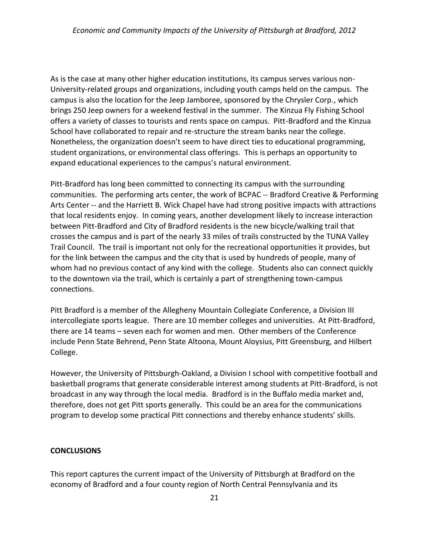As is the case at many other higher education institutions, its campus serves various non-University-related groups and organizations, including youth camps held on the campus. The campus is also the location for the Jeep Jamboree, sponsored by the Chrysler Corp., which brings 250 Jeep owners for a weekend festival in the summer. The Kinzua Fly Fishing School offers a variety of classes to tourists and rents space on campus. Pitt-Bradford and the Kinzua School have collaborated to repair and re-structure the stream banks near the college. Nonetheless, the organization doesn't seem to have direct ties to educational programming, student organizations, or environmental class offerings. This is perhaps an opportunity to expand educational experiences to the campus's natural environment.

Pitt-Bradford has long been committed to connecting its campus with the surrounding communities. The performing arts center, the work of BCPAC -- Bradford Creative & Performing Arts Center -- and the Harriett B. Wick Chapel have had strong positive impacts with attractions that local residents enjoy. In coming years, another development likely to increase interaction between Pitt-Bradford and City of Bradford residents is the new bicycle/walking trail that crosses the campus and is part of the nearly 33 miles of trails constructed by the TUNA Valley Trail Council. The trail is important not only for the recreational opportunities it provides, but for the link between the campus and the city that is used by hundreds of people, many of whom had no previous contact of any kind with the college. Students also can connect quickly to the downtown via the trail, which is certainly a part of strengthening town-campus connections.

Pitt Bradford is a member of the Allegheny Mountain Collegiate Conference, a Division III intercollegiate sports league. There are 10 member colleges and universities. At Pitt-Bradford, there are 14 teams – seven each for women and men. Other members of the Conference include Penn State Behrend, Penn State Altoona, Mount Aloysius, Pitt Greensburg, and Hilbert College.

However, the University of Pittsburgh-Oakland, a Division I school with competitive football and basketball programs that generate considerable interest among students at Pitt-Bradford, is not broadcast in any way through the local media. Bradford is in the Buffalo media market and, therefore, does not get Pitt sports generally. This could be an area for the communications program to develop some practical Pitt connections and thereby enhance students' skills.

### <span id="page-24-0"></span>**CONCLUSIONS**

This report captures the current impact of the University of Pittsburgh at Bradford on the economy of Bradford and a four county region of North Central Pennsylvania and its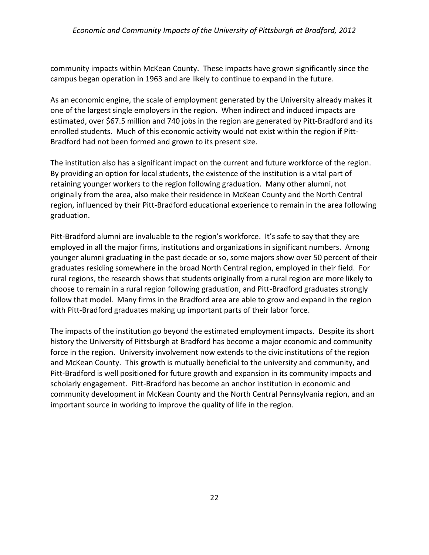community impacts within McKean County. These impacts have grown significantly since the campus began operation in 1963 and are likely to continue to expand in the future.

As an economic engine, the scale of employment generated by the University already makes it one of the largest single employers in the region. When indirect and induced impacts are estimated, over \$67.5 million and 740 jobs in the region are generated by Pitt-Bradford and its enrolled students. Much of this economic activity would not exist within the region if Pitt-Bradford had not been formed and grown to its present size.

The institution also has a significant impact on the current and future workforce of the region. By providing an option for local students, the existence of the institution is a vital part of retaining younger workers to the region following graduation. Many other alumni, not originally from the area, also make their residence in McKean County and the North Central region, influenced by their Pitt-Bradford educational experience to remain in the area following graduation.

Pitt-Bradford alumni are invaluable to the region's workforce. It's safe to say that they are employed in all the major firms, institutions and organizations in significant numbers. Among younger alumni graduating in the past decade or so, some majors show over 50 percent of their graduates residing somewhere in the broad North Central region, employed in their field. For rural regions, the research shows that students originally from a rural region are more likely to choose to remain in a rural region following graduation, and Pitt-Bradford graduates strongly follow that model. Many firms in the Bradford area are able to grow and expand in the region with Pitt-Bradford graduates making up important parts of their labor force.

The impacts of the institution go beyond the estimated employment impacts. Despite its short history the University of Pittsburgh at Bradford has become a major economic and community force in the region. University involvement now extends to the civic institutions of the region and McKean County. This growth is mutually beneficial to the university and community, and Pitt-Bradford is well positioned for future growth and expansion in its community impacts and scholarly engagement. Pitt-Bradford has become an anchor institution in economic and community development in McKean County and the North Central Pennsylvania region, and an important source in working to improve the quality of life in the region.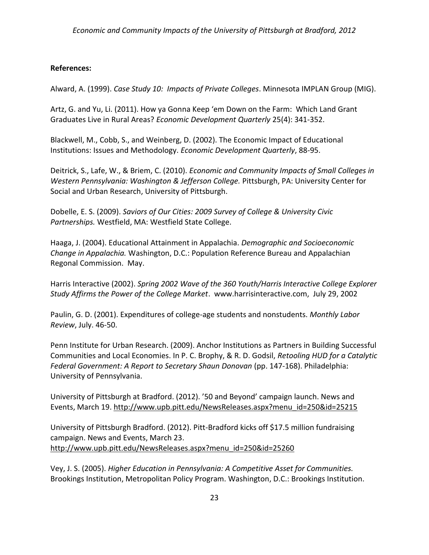## **References:**

Alward, A. (1999). *Case Study 10: Impacts of Private Colleges*. Minnesota IMPLAN Group (MIG).

Artz, G. and Yu, Li. (2011). How ya Gonna Keep 'em Down on the Farm: Which Land Grant Graduates Live in Rural Areas? *Economic Development Quarterly* 25(4): 341-352.

Blackwell, M., Cobb, S., and Weinberg, D. (2002). The Economic Impact of Educational Institutions: Issues and Methodology. *Economic Development Quarterly*, 88-95.

Deitrick, S., Lafe, W., & Briem, C. (2010). *Economic and Community Impacts of Small Colleges in Western Pennsylvania: Washington & Jefferson College.* Pittsburgh, PA: University Center for Social and Urban Research, University of Pittsburgh.

Dobelle, E. S. (2009). *Saviors of Our Cities: 2009 Survey of College & University Civic Partnerships.* Westfield, MA: Westfield State College.

Haaga, J. (2004). Educational Attainment in Appalachia. *Demographic and Socioeconomic Change in Appalachia.* Washington, D.C.: Population Reference Bureau and Appalachian Regonal Commission. May.

Harris Interactive (2002). *Spring 2002 Wave of the 360 Youth/Harris Interactive College Explorer Study Affirms the Power of the College Market*. www.harrisinteractive.com, July 29, 2002

Paulin, G. D. (2001). Expenditures of college-age students and nonstudents. *Monthly Labor Review*, July. 46-50.

Penn Institute for Urban Research. (2009). Anchor Institutions as Partners in Building Successful Communities and Local Economies. In P. C. Brophy, & R. D. Godsil, *Retooling HUD for a Catalytic Federal Government: A Report to Secretary Shaun Donovan* (pp. 147-168). Philadelphia: University of Pennsylvania.

University of Pittsburgh at Bradford. (2012). '50 and Beyond' campaign launch. News and Events, March 19. [http://www.upb.pitt.edu/NewsReleases.aspx?menu\\_id=250&id=25215](http://www.upb.pitt.edu/NewsReleases.aspx?menu_id=250&id=25215)

University of Pittsburgh Bradford. (2012). Pitt-Bradford kicks off \$17.5 million fundraising campaign. News and Events, March 23. [http://www.upb.pitt.edu/NewsReleases.aspx?menu\\_id=250&id=25260](http://www.upb.pitt.edu/NewsReleases.aspx?menu_id=250&id=25260)

Vey, J. S. (2005). *Higher Education in Pennsylvania: A Competitive Asset for Communities.* Brookings Institution, Metropolitan Policy Program. Washington, D.C.: Brookings Institution.